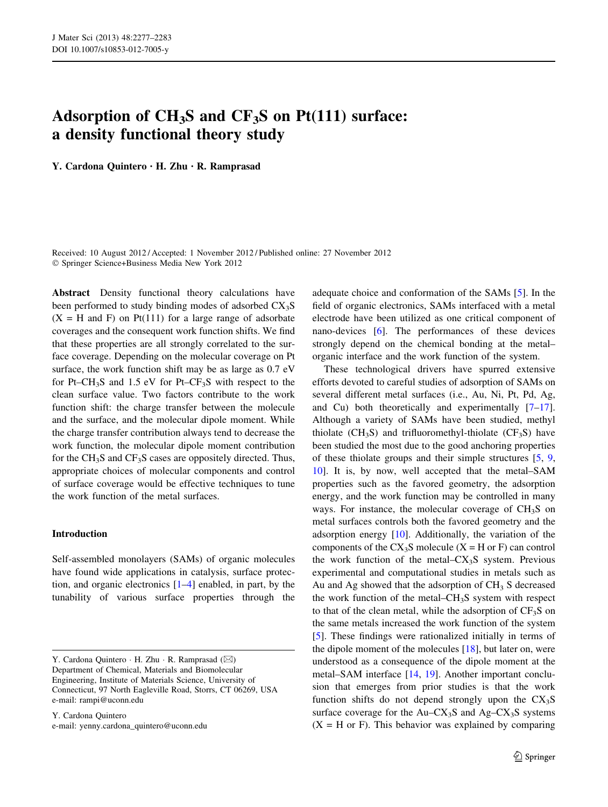# Adsorption of  $CH_3S$  and  $CF_3S$  on  $Pt(111)$  surface: a density functional theory study

Y. Cardona Quintero • H. Zhu • R. Ramprasad

Received: 10 August 2012 / Accepted: 1 November 2012 / Published online: 27 November 2012 - Springer Science+Business Media New York 2012

Abstract Density functional theory calculations have been performed to study binding modes of adsorbed  $CX_3S$  $(X = H \text{ and } F)$  on Pt(111) for a large range of adsorbate coverages and the consequent work function shifts. We find that these properties are all strongly correlated to the surface coverage. Depending on the molecular coverage on Pt surface, the work function shift may be as large as 0.7 eV for Pt–CH<sub>3</sub>S and 1.5 eV for Pt–CF<sub>3</sub>S with respect to the clean surface value. Two factors contribute to the work function shift: the charge transfer between the molecule and the surface, and the molecular dipole moment. While the charge transfer contribution always tend to decrease the work function, the molecular dipole moment contribution for the  $CH_3S$  and  $CF_3S$  cases are oppositely directed. Thus, appropriate choices of molecular components and control of surface coverage would be effective techniques to tune the work function of the metal surfaces.

# Introduction

Self-assembled monolayers (SAMs) of organic molecules have found wide applications in catalysis, surface protection, and organic electronics [\[1–4](#page-6-0)] enabled, in part, by the tunability of various surface properties through the

Y. Cardona Quintero e-mail: yenny.cardona\_quintero@uconn.edu adequate choice and conformation of the SAMs [[5\]](#page-6-0). In the field of organic electronics, SAMs interfaced with a metal electrode have been utilized as one critical component of nano-devices [\[6](#page-6-0)]. The performances of these devices strongly depend on the chemical bonding at the metal– organic interface and the work function of the system.

These technological drivers have spurred extensive efforts devoted to careful studies of adsorption of SAMs on several different metal surfaces (i.e., Au, Ni, Pt, Pd, Ag, and Cu) both theoretically and experimentally [\[7–17](#page-6-0)]. Although a variety of SAMs have been studied, methyl thiolate ( $CH_3S$ ) and trifluoromethyl-thiolate ( $CF_3S$ ) have been studied the most due to the good anchoring properties of these thiolate groups and their simple structures [\[5](#page-6-0), [9,](#page-6-0) [10](#page-6-0)]. It is, by now, well accepted that the metal–SAM properties such as the favored geometry, the adsorption energy, and the work function may be controlled in many ways. For instance, the molecular coverage of CH<sub>3</sub>S on metal surfaces controls both the favored geometry and the adsorption energy [[10\]](#page-6-0). Additionally, the variation of the components of the  $CX_3S$  molecule  $(X = H \text{ or } F)$  can control the work function of the metal– $CX_3S$  system. Previous experimental and computational studies in metals such as Au and Ag showed that the adsorption of  $CH<sub>3</sub>$  S decreased the work function of the metal– $CH<sub>3</sub>S$  system with respect to that of the clean metal, while the adsorption of  $CF_3S$  on the same metals increased the work function of the system [\[5](#page-6-0)]. These findings were rationalized initially in terms of the dipole moment of the molecules  $[18]$  $[18]$ , but later on, were understood as a consequence of the dipole moment at the metal–SAM interface [\[14](#page-6-0), [19](#page-6-0)]. Another important conclusion that emerges from prior studies is that the work function shifts do not depend strongly upon the  $CX_3S$ surface coverage for the  $Au-CX_3S$  and  $Ag-CX_3S$  systems  $(X = H \text{ or } F)$ . This behavior was explained by comparing

Y. Cardona Quintero  $\cdot$  H. Zhu  $\cdot$  R. Ramprasad ( $\boxtimes$ ) Department of Chemical, Materials and Biomolecular Engineering, Institute of Materials Science, University of Connecticut, 97 North Eagleville Road, Storrs, CT 06269, USA e-mail: rampi@uconn.edu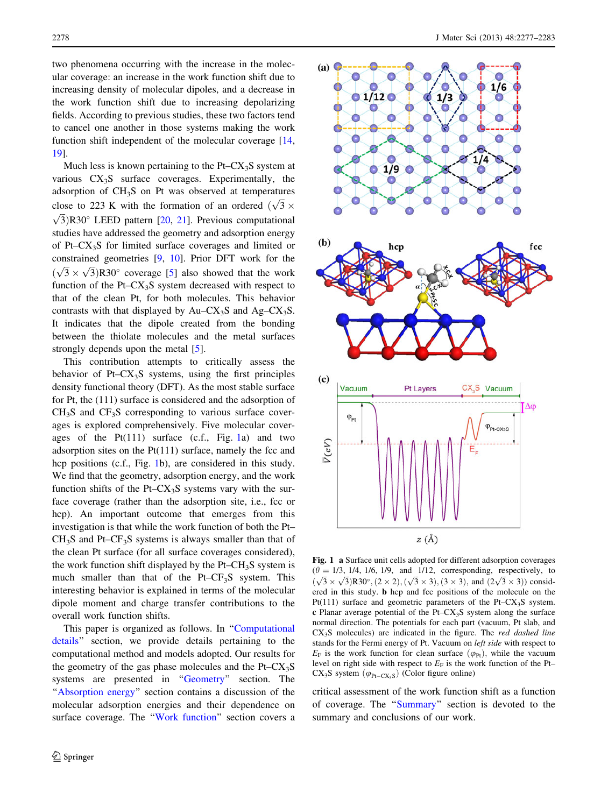<span id="page-1-0"></span>two phenomena occurring with the increase in the molecular coverage: an increase in the work function shift due to increasing density of molecular dipoles, and a decrease in the work function shift due to increasing depolarizing fields. According to previous studies, these two factors tend to cancel one another in those systems making the work function shift independent of the molecular coverage [[14,](#page-6-0) [19](#page-6-0)].

Much less is known pertaining to the  $Pt-CX_3S$  system at various  $CX<sub>3</sub>S$  surface coverages. Experimentally, the adsorption of CH3S on Pt was observed at temperatures close to 223 K with the formation of an ordered  $(\sqrt{3} \times \sqrt{2})$  p 20° J EED pattern 520, 211. Previews computational  $\sqrt{3}$ )R30° LEED pattern [\[20,](#page-6-0) [21](#page-6-0)]. Previous computational studies have addressed the geometry and adsorption energy of Pt– $CX<sub>3</sub>S$  for limited surface coverages and limited or constrained geometries [\[9](#page-6-0), [10](#page-6-0)]. Prior DFT work for the  $(\sqrt{3} \times \sqrt{3})$ R30° coverage [[5\]](#page-6-0) also showed that the work function of the Pt– $CX<sub>3</sub>S$  system decreased with respect to that of the clean Pt, for both molecules. This behavior contrasts with that displayed by  $Au - CX_3S$  and  $Ag - CX_3S$ . It indicates that the dipole created from the bonding between the thiolate molecules and the metal surfaces strongly depends upon the metal [\[5](#page-6-0)].

This contribution attempts to critically assess the behavior of Pt– $CX<sub>3</sub>S$  systems, using the first principles density functional theory (DFT). As the most stable surface for Pt, the (111) surface is considered and the adsorption of  $CH<sub>3</sub>S$  and  $CF<sub>3</sub>S$  corresponding to various surface coverages is explored comprehensively. Five molecular coverages of the  $Pt(111)$  surface (c.f., Fig. 1a) and two adsorption sites on the  $Pt(111)$  surface, namely the fcc and hcp positions (c.f., Fig. 1b), are considered in this study. We find that the geometry, adsorption energy, and the work function shifts of the Pt– $CX_3S$  systems vary with the surface coverage (rather than the adsorption site, i.e., fcc or hcp). An important outcome that emerges from this investigation is that while the work function of both the Pt–  $CH<sub>3</sub>S$  and Pt– $CF<sub>3</sub>S$  systems is always smaller than that of the clean Pt surface (for all surface coverages considered), the work function shift displayed by the Pt– $CH_3S$  system is much smaller than that of the Pt– $CF_3S$  system. This interesting behavior is explained in terms of the molecular dipole moment and charge transfer contributions to the overall work function shifts.

This paper is organized as follows. In "[Computational](#page-2-0) [details](#page-2-0)'' section, we provide details pertaining to the computational method and models adopted. Our results for the geometry of the gas phase molecules and the  $Pt-CX_3S$ systems are presented in "Geometry" section. The "[Absorption energy](#page-4-0)" section contains a discussion of the molecular adsorption energies and their dependence on surface coverage. The '['Work function](#page-5-0)'' section covers a



Fig. 1 a Surface unit cells adopted for different adsorption coverages  $(\theta = 1/3, 1/4, 1/6, 1/9, \text{ and } 1/12, \text{ corresponding, respectively, to}$  $(\sqrt{3} \times \sqrt{3})$ R30°,  $(2 \times 2)$ ,  $(\sqrt{3} \times 3)$ ,  $(3 \times 3)$ , and  $(2\sqrt{3} \times 3)$ ) consider ered in this study. b hcp and fcc positions of the molecule on the Pt(111) surface and geometric parameters of the Pt– $CX_3S$  system. c Planar average potential of the Pt–CX<sub>3</sub>S system along the surface normal direction. The potentials for each part (vacuum, Pt slab, and  $CX<sub>3</sub>S$  molecules) are indicated in the figure. The *red dashed line* stands for the Fermi energy of Pt. Vacuum on left side with respect to  $E_F$  is the work function for clean surface  $(\varphi_{Pt})$ , while the vacuum level on right side with respect to  $E_F$  is the work function of the Pt–  $CX_3S$  system  $(\varphi_{Pt-CX_3S})$  (Color figure online)

critical assessment of the work function shift as a function of coverage. The ''[Summary'](#page-6-0)' section is devoted to the summary and conclusions of our work.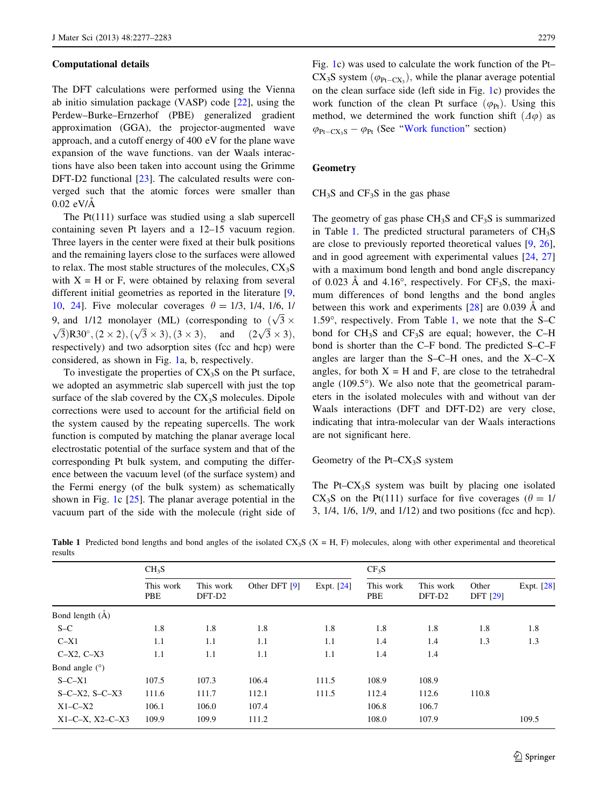#### <span id="page-2-0"></span>Computational details

The DFT calculations were performed using the Vienna ab initio simulation package (VASP) code [\[22](#page-6-0)], using the Perdew–Burke–Ernzerhof (PBE) generalized gradient approximation (GGA), the projector-augmented wave approach, and a cutoff energy of 400 eV for the plane wave expansion of the wave functions. van der Waals interactions have also been taken into account using the Grimme DFT-D2 functional [\[23](#page-6-0)]. The calculated results were converged such that the atomic forces were smaller than  $0.02$  eV/ $\AA$ 

The Pt(111) surface was studied using a slab supercell containing seven Pt layers and a 12–15 vacuum region. Three layers in the center were fixed at their bulk positions and the remaining layers close to the surfaces were allowed to relax. The most stable structures of the molecules,  $CX_3S$ with  $X = H$  or F, were obtained by relaxing from several different initial geometries as reported in the literature [[9,](#page-6-0) [10](#page-6-0), [24](#page-6-0)]. Five molecular coverages  $\theta = 1/3, 1/4, 1/6, 1/$ 9, and 1/12 monolayer (ML) (corresponding to  $(\sqrt{3} \times \sqrt{2})$  5 ft  $(3 \times 3)$  (2 ii)  $(2 \times 3)$  and  $(2 \times 3)$  $\sqrt{3}$ )R30°,  $(2 \times 2)$ ,  $(\sqrt{3} \times 3)$ ,  $(3 \times 3)$ , and  $(2\sqrt{3})$  $\sqrt{3} \times 3$ ), respectively) and two adsorption sites (fcc and hcp) were considered, as shown in Fig. [1](#page-1-0)a, b, respectively.

To investigate the properties of  $CX_3S$  on the Pt surface, we adopted an asymmetric slab supercell with just the top surface of the slab covered by the  $CX<sub>3</sub>S$  molecules. Dipole corrections were used to account for the artificial field on the system caused by the repeating supercells. The work function is computed by matching the planar average local electrostatic potential of the surface system and that of the corresponding Pt bulk system, and computing the difference between the vacuum level (of the surface system) and the Fermi energy (of the bulk system) as schematically shown in Fig. [1](#page-1-0)c [[25\]](#page-6-0). The planar average potential in the vacuum part of the side with the molecule (right side of Fig. [1](#page-1-0)c) was used to calculate the work function of the Pt–  $CX_3S$  system  $(\varphi_{Pt-CX_3})$ , while the planar average potential on the clean surface side (left side in Fig. [1c](#page-1-0)) provides the work function of the clean Pt surface  $(\varphi_{\text{Pr}})$ . Using this method, we determined the work function shift  $(\Delta \varphi)$  as  $\varphi_{\text{Pt}-\text{CX}_3\text{S}} - \varphi_{\text{Pt}}$  (See "Work function" section)

#### **Geometry**

 $CH<sub>3</sub>S$  and  $CF<sub>3</sub>S$  in the gas phase

The geometry of gas phase  $CH_3S$  and  $CF_3S$  is summarized in Table 1. The predicted structural parameters of  $CH<sub>3</sub>S$ are close to previously reported theoretical values [[9,](#page-6-0) [26](#page-6-0)], and in good agreement with experimental values [[24,](#page-6-0) [27\]](#page-6-0) with a maximum bond length and bond angle discrepancy of 0.023 Å and 4.16°, respectively. For  $CF_3S$ , the maximum differences of bond lengths and the bond angles between this work and experiments  $[28]$  $[28]$  are 0.039 Å and 1.59 $^{\circ}$ , respectively. From Table 1, we note that the S–C bond for  $CH_3S$  and  $CF_3S$  are equal; however, the C–H bond is shorter than the C–F bond. The predicted S–C–F angles are larger than the S–C–H ones, and the X–C–X angles, for both  $X = H$  and F, are close to the tetrahedral angle  $(109.5^{\circ})$ . We also note that the geometrical parameters in the isolated molecules with and without van der Waals interactions (DFT and DFT-D2) are very close, indicating that intra-molecular van der Waals interactions are not significant here.

Geometry of the Pt– $CX_3S$  system

The Pt– $CX_3S$  system was built by placing one isolated CX<sub>3</sub>S on the Pt(111) surface for five coverages ( $\theta = 1/$ 3, 1/4, 1/6, 1/9, and 1/12) and two positions (fcc and hcp).

|                             | $CH_3S$          |                     |               |              | CF <sub>3</sub> S |                     |                   |            |  |
|-----------------------------|------------------|---------------------|---------------|--------------|-------------------|---------------------|-------------------|------------|--|
|                             | This work<br>PBE | This work<br>DFT-D2 | Other DFT [9] | Expt. $[24]$ | This work<br>PBE  | This work<br>DFT-D2 | Other<br>DFT [29] | Expt. [28] |  |
| Bond length (A)             |                  |                     |               |              |                   |                     |                   |            |  |
| $S-C$                       | 1.8              | 1.8                 | 1.8           | 1.8          | 1.8               | 1.8                 | 1.8               | 1.8        |  |
| $C-X1$                      | 1.1              | 1.1                 | 1.1           | 1.1          | 1.4               | 1.4                 | 1.3               | 1.3        |  |
| $C-X2, C-X3$                | 1.1              | 1.1                 | 1.1           | 1.1          | 1.4               | 1.4                 |                   |            |  |
| Bond angle (°)              |                  |                     |               |              |                   |                     |                   |            |  |
| $S - C - X1$                | 107.5            | 107.3               | 106.4         | 111.5        | 108.9             | 108.9               |                   |            |  |
| $S - C - X2$ , $S - C - X3$ | 111.6            | 111.7               | 112.1         | 111.5        | 112.4             | 112.6               | 110.8             |            |  |
| $X1-C-X2$                   | 106.1            | 106.0               | 107.4         |              | 106.8             | 106.7               |                   |            |  |
| $X1-C-X$ , $X2-C-X3$        | 109.9            | 109.9               | 111.2         |              | 108.0             | 107.9               |                   | 109.5      |  |

**Table 1** Predicted bond lengths and bond angles of the isolated  $CX_3S$  ( $X = H$ , F) molecules, along with other experimental and theoretical results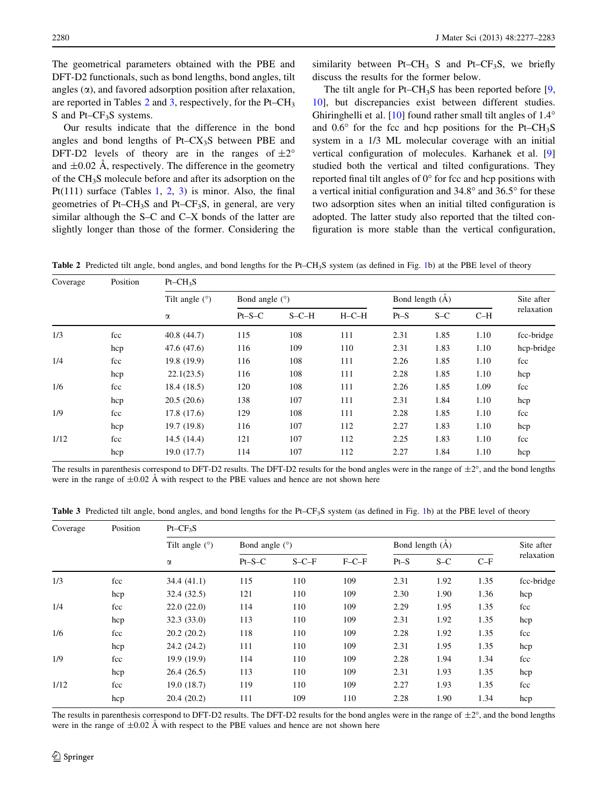<span id="page-3-0"></span>The geometrical parameters obtained with the PBE and DFT-D2 functionals, such as bond lengths, bond angles, tilt angles  $(\alpha)$ , and favored adsorption position after relaxation, are reported in Tables  $2$  and  $3$ , respectively, for the Pt–CH<sub>3</sub> S and Pt–CF<sub>3</sub>S systems.

Our results indicate that the difference in the bond angles and bond lengths of  $Pt-CX_3S$  between PBE and DFT-D2 levels of theory are in the ranges of  $\pm 2^{\circ}$ and  $\pm 0.02$  Å, respectively. The difference in the geometry of the CH3S molecule before and after its adsorption on the Pt(111) surface (Tables [1,](#page-2-0) 2, 3) is minor. Also, the final geometries of Pt–CH<sub>3</sub>S and Pt–CF<sub>3</sub>S, in general, are very similar although the S–C and C–X bonds of the latter are slightly longer than those of the former. Considering the similarity between Pt–CH<sub>3</sub> S and Pt–CF<sub>3</sub>S, we briefly discuss the results for the former below.

The tilt angle for Pt–CH<sub>3</sub>S has been reported before  $[9, 9]$  $[9, 9]$  $[9, 9]$ [10](#page-6-0)], but discrepancies exist between different studies. Ghiringhelli et al.  $[10]$  $[10]$  found rather small tilt angles of  $1.4^\circ$ and  $0.6^{\circ}$  for the fcc and hcp positions for the Pt–CH<sub>3</sub>S system in a 1/3 ML molecular coverage with an initial vertical configuration of molecules. Karhanek et al. [[9\]](#page-6-0) studied both the vertical and tilted configurations. They reported final tilt angles of  $0^{\circ}$  for fcc and hcp positions with a vertical initial configuration and  $34.8^\circ$  and  $36.5^\circ$  for these two adsorption sites when an initial tilted configuration is adopted. The latter study also reported that the tilted configuration is more stable than the vertical configuration,

Table 2 Predicted tilt angle, bond angles, and bond lengths for the Pt–CH<sub>3</sub>S system (as defined in Fig. [1b](#page-1-0)) at the PBE level of theory

| Coverage | Position | $Pt$ – $CH_3S$        |                  |         |         |                 |       |       |            |  |
|----------|----------|-----------------------|------------------|---------|---------|-----------------|-------|-------|------------|--|
|          |          | Tilt angle $(°)$<br>α | Bond angle $(°)$ |         |         | Bond length (Å) |       |       | Site after |  |
|          |          |                       | $Pt-S-C$         | $S-C-H$ | $H-C-H$ | $Pt-S$          | $S-C$ | $C-H$ | relaxation |  |
| 1/3      | fcc      | 40.8(44.7)            | 115              | 108     | 111     | 2.31            | 1.85  | 1.10  | fcc-bridge |  |
|          | hcp      | 47.6 (47.6)           | 116              | 109     | 110     | 2.31            | 1.83  | 1.10  | hcp-bridge |  |
| 1/4      | fcc      | 19.8 (19.9)           | 116              | 108     | 111     | 2.26            | 1.85  | 1.10  | fcc        |  |
|          | hcp      | 22.1(23.5)            | 116              | 108     | 111     | 2.28            | 1.85  | 1.10  | hcp        |  |
| 1/6      | fcc      | 18.4 (18.5)           | 120              | 108     | 111     | 2.26            | 1.85  | 1.09  | fcc        |  |
|          | hcp      | 20.5(20.6)            | 138              | 107     | 111     | 2.31            | 1.84  | 1.10  | hcp        |  |
| 1/9      | fcc      | 17.8(17.6)            | 129              | 108     | 111     | 2.28            | 1.85  | 1.10  | fcc        |  |
|          | hcp      | 19.7(19.8)            | 116              | 107     | 112     | 2.27            | 1.83  | 1.10  | hcp        |  |
| 1/12     | fcc      | 14.5(14.4)            | 121              | 107     | 112     | 2.25            | 1.83  | 1.10  | fcc        |  |
|          | hcp      | 19.0 (17.7)           | 114              | 107     | 112     | 2.27            | 1.84  | 1.10  | hcp        |  |

The results in parenthesis correspond to DFT-D2 results. The DFT-D2 results for the bond angles were in the range of  $\pm 2^{\circ}$ , and the bond lengths were in the range of  $\pm 0.02$  Å with respect to the PBE values and hence are not shown here

Table 3 Predicted tilt angle, bond angles, and bond lengths for the Pt–CF<sub>3</sub>S system (as defined in Fig. [1](#page-1-0)b) at the PBE level of theory

| Coverage | Position | $Pt-CF3S$                    |                  |         |         |                   |       |       |            |  |
|----------|----------|------------------------------|------------------|---------|---------|-------------------|-------|-------|------------|--|
|          |          | Tilt angle $(°)$<br>$\alpha$ | Bond angle $(°)$ |         |         | Bond length $(A)$ |       |       | Site after |  |
|          |          |                              | $Pt-S-C$         | $S-C-F$ | $F-C-F$ | $Pt-S$            | $S-C$ | $C-F$ | relaxation |  |
| 1/3      | fcc      | 34.4(41.1)                   | 115              | 110     | 109     | 2.31              | 1.92  | 1.35  | fcc-bridge |  |
|          | hcp      | 32.4(32.5)                   | 121              | 110     | 109     | 2.30              | 1.90  | 1.36  | hcp        |  |
| 1/4      | fcc      | 22.0(22.0)                   | 114              | 110     | 109     | 2.29              | 1.95  | 1.35  | fcc        |  |
|          | hcp      | 32.3(33.0)                   | 113              | 110     | 109     | 2.31              | 1.92  | 1.35  | hcp        |  |
| 1/6      | fcc      | 20.2(20.2)                   | 118              | 110     | 109     | 2.28              | 1.92  | 1.35  | fcc        |  |
|          | hcp      | 24.2 (24.2)                  | 111              | 110     | 109     | 2.31              | 1.95  | 1.35  | hcp        |  |
| 1/9      | fcc      | 19.9 (19.9)                  | 114              | 110     | 109     | 2.28              | 1.94  | 1.34  | fcc        |  |
|          | hcp      | 26.4(26.5)                   | 113              | 110     | 109     | 2.31              | 1.93  | 1.35  | hcp        |  |
| 1/12     | fcc      | 19.0(18.7)                   | 119              | 110     | 109     | 2.27              | 1.93  | 1.35  | fcc        |  |
|          | hcp      | 20.4(20.2)                   | 111              | 109     | 110     | 2.28              | 1.90  | 1.34  | hcp        |  |

The results in parenthesis correspond to DFT-D2 results. The DFT-D2 results for the bond angles were in the range of  $\pm 2^{\circ}$ , and the bond lengths were in the range of  $\pm 0.02$  Å with respect to the PBE values and hence are not shown here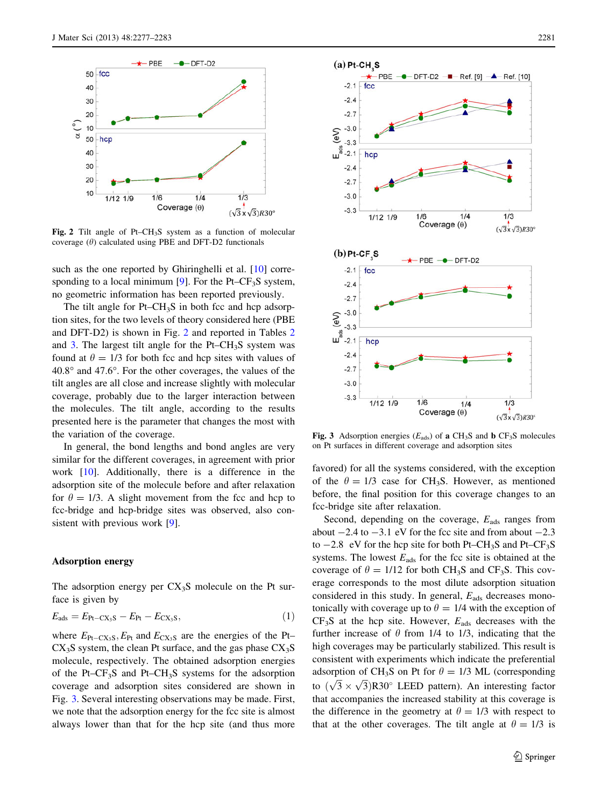<span id="page-4-0"></span>

Fig. 2 Tilt angle of Pt–CH<sub>3</sub>S system as a function of molecular coverage  $(\theta)$  calculated using PBE and DFT-D2 functionals

such as the one reported by Ghiringhelli et al. [\[10](#page-6-0)] corresponding to a local minimum  $[9]$  $[9]$ . For the Pt–CF<sub>3</sub>S system, no geometric information has been reported previously.

The tilt angle for  $Pt$ – $CH_3S$  in both fcc and hcp adsorption sites, for the two levels of theory considered here (PBE and DFT-D2) is shown in Fig. 2 and reported in Tables [2](#page-3-0) and [3](#page-3-0). The largest tilt angle for the  $Pt-CH_3S$  system was found at  $\theta = 1/3$  for both fcc and hcp sites with values of  $40.8^{\circ}$  and  $47.6^{\circ}$ . For the other coverages, the values of the tilt angles are all close and increase slightly with molecular coverage, probably due to the larger interaction between the molecules. The tilt angle, according to the results presented here is the parameter that changes the most with the variation of the coverage.

In general, the bond lengths and bond angles are very similar for the different coverages, in agreement with prior work [[10\]](#page-6-0). Additionally, there is a difference in the adsorption site of the molecule before and after relaxation for  $\theta = 1/3$ . A slight movement from the fcc and hcp to fcc-bridge and hcp-bridge sites was observed, also consistent with previous work [[9\]](#page-6-0).

#### Adsorption energy

The adsorption energy per  $CX<sub>3</sub>S$  molecule on the Pt surface is given by

$$
E_{\text{ads}} = E_{\text{Pt}-\text{CX}_3\text{S}} - E_{\text{Pt}} - E_{\text{CX}_3\text{S}},\tag{1}
$$

where  $E_{\text{Pt}-\text{CX}_3\text{S}}$ ,  $E_{\text{Pt}}$  and  $E_{\text{CX}_3\text{S}}$  are the energies of the Pt–  $CX<sub>3</sub>S$  system, the clean Pt surface, and the gas phase  $CX<sub>3</sub>S$ molecule, respectively. The obtained adsorption energies of the Pt– $CF_3S$  and Pt– $CH_3S$  systems for the adsorption coverage and adsorption sites considered are shown in Fig. 3. Several interesting observations may be made. First, we note that the adsorption energy for the fcc site is almost always lower than that for the hcp site (and thus more



Fig. 3 Adsorption energies ( $E_{ads}$ ) of a CH<sub>3</sub>S and b CF<sub>3</sub>S molecules on Pt surfaces in different coverage and adsorption sites

favored) for all the systems considered, with the exception of the  $\theta = 1/3$  case for CH<sub>3</sub>S. However, as mentioned before, the final position for this coverage changes to an fcc-bridge site after relaxation.

Second, depending on the coverage,  $E_{\text{ads}}$  ranges from about  $-2.4$  to  $-3.1$  eV for the fcc site and from about  $-2.3$ to  $-2.8$  eV for the hcp site for both Pt–CH<sub>3</sub>S and Pt–CF<sub>3</sub>S systems. The lowest  $E_{ads}$  for the fcc site is obtained at the coverage of  $\theta = 1/12$  for both CH<sub>3</sub>S and CF<sub>3</sub>S. This coverage corresponds to the most dilute adsorption situation considered in this study. In general,  $E_{ads}$  decreases monotonically with coverage up to  $\theta = 1/4$  with the exception of  $CF<sub>3</sub>S$  at the hcp site. However,  $E<sub>ads</sub>$  decreases with the further increase of  $\theta$  from 1/4 to 1/3, indicating that the high coverages may be particularly stabilized. This result is consistent with experiments which indicate the preferential adsorption of CH<sub>3</sub>S on Pt for  $\theta = 1/3$  ML (corresponding to  $(\sqrt{3} \times \sqrt{3})$ R30° LEED pattern). An interesting factor that accompanies the increased stability at this coverage is the difference in the geometry at  $\theta = 1/3$  with respect to that at the other coverages. The tilt angle at  $\theta = 1/3$  is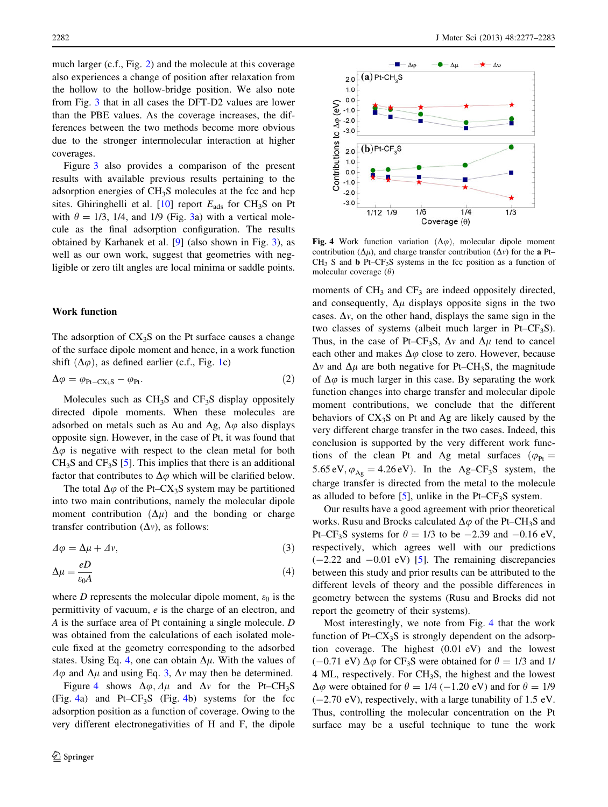<span id="page-5-0"></span>much larger (c.f., Fig. [2\)](#page-4-0) and the molecule at this coverage also experiences a change of position after relaxation from the hollow to the hollow-bridge position. We also note from Fig. [3](#page-4-0) that in all cases the DFT-D2 values are lower than the PBE values. As the coverage increases, the differences between the two methods become more obvious due to the stronger intermolecular interaction at higher coverages.

Figure [3](#page-4-0) also provides a comparison of the present results with available previous results pertaining to the adsorption energies of  $CH<sub>3</sub>S$  molecules at the fcc and hcp sites. Ghiringhelli et al.  $[10]$  $[10]$  report  $E_{ads}$  for CH<sub>3</sub>S on Pt with  $\theta = 1/3$ , 1/4, and 1/9 (Fig. [3a](#page-4-0)) with a vertical molecule as the final adsorption configuration. The results obtained by Karhanek et al. [[9\]](#page-6-0) (also shown in Fig. [3\)](#page-4-0), as well as our own work, suggest that geometries with negligible or zero tilt angles are local minima or saddle points.

# Work function

The adsorption of  $CX_3S$  on the Pt surface causes a change of the surface dipole moment and hence, in a work function shift  $(\Delta \varphi)$ , as defined earlier (c.f., Fig. [1c](#page-1-0))

$$
\Delta \varphi = \varphi_{\text{Pt}-\text{CX}_3\text{S}} - \varphi_{\text{Pt}}.\tag{2}
$$

Molecules such as  $CH_3S$  and  $CF_3S$  display oppositely directed dipole moments. When these molecules are adsorbed on metals such as Au and Ag,  $\Delta\varphi$  also displays opposite sign. However, in the case of Pt, it was found that  $\Delta\varphi$  is negative with respect to the clean metal for both  $CH<sub>3</sub>S$  and  $CF<sub>3</sub>S$  [\[5](#page-6-0)]. This implies that there is an additional factor that contributes to  $\Delta\varphi$  which will be clarified below.

The total  $\Delta\varphi$  of the Pt–CX<sub>3</sub>S system may be partitioned into two main contributions, namely the molecular dipole moment contribution  $(\Delta \mu)$  and the bonding or charge transfer contribution  $(\Delta v)$ , as follows:

$$
\varDelta \varphi = \Delta \mu + \varDelta v,\tag{3}
$$

$$
\Delta \mu = \frac{eD}{\varepsilon_0 A} \tag{4}
$$

where D represents the molecular dipole moment,  $\varepsilon_0$  is the permittivity of vacuum, e is the charge of an electron, and A is the surface area of Pt containing a single molecule. D was obtained from the calculations of each isolated molecule fixed at the geometry corresponding to the adsorbed states. Using Eq. 4, one can obtain  $\Delta \mu$ . With the values of  $\Delta \varphi$  and  $\Delta \mu$  and using Eq. 3,  $\Delta v$  may then be determined.

Figure 4 shows  $\Delta\varphi$ ,  $\Delta\mu$  and  $\Delta\nu$  for the Pt–CH<sub>3</sub>S  $(Fig. 4a)$  and Pt–CF<sub>3</sub>S (Fig. 4b) systems for the fcc adsorption position as a function of coverage. Owing to the very different electronegativities of H and F, the dipole



Fig. 4 Work function variation  $(\Delta \varphi)$ , molecular dipole moment contribution ( $\Delta \mu$ ), and charge transfer contribution ( $\Delta v$ ) for the a Pt–  $CH<sub>3</sub>$  S and b Pt– $CF<sub>3</sub>S$  systems in the fcc position as a function of molecular coverage  $(\theta)$ 

moments of  $CH_3$  and  $CF_3$  are indeed oppositely directed, and consequently,  $\Delta \mu$  displays opposite signs in the two cases.  $\Delta v$ , on the other hand, displays the same sign in the two classes of systems (albeit much larger in Pt– $CF_3S$ ). Thus, in the case of Pt–CF<sub>3</sub>S,  $\Delta v$  and  $\Delta \mu$  tend to cancel each other and makes  $\Delta\varphi$  close to zero. However, because  $\Delta v$  and  $\Delta \mu$  are both negative for Pt–CH<sub>3</sub>S, the magnitude of  $\Delta\varphi$  is much larger in this case. By separating the work function changes into charge transfer and molecular dipole moment contributions, we conclude that the different behaviors of  $CX_3S$  on Pt and Ag are likely caused by the very different charge transfer in the two cases. Indeed, this conclusion is supported by the very different work functions of the clean Pt and Ag metal surfaces ( $\varphi_{Pt}$  = 5.65 eV,  $\varphi_{\text{Ag}} = 4.26 \text{ eV}$ . In the Ag–CF<sub>3</sub>S system, the charge transfer is directed from the metal to the molecule as alluded to before [[5\]](#page-6-0), unlike in the Pt–CF<sub>3</sub>S system.

Our results have a good agreement with prior theoretical works. Rusu and Brocks calculated  $\Delta\varphi$  of the Pt–CH<sub>3</sub>S and Pt–CF<sub>3</sub>S systems for  $\theta = 1/3$  to be  $-2.39$  and  $-0.16$  eV, respectively, which agrees well with our predictions  $(-2.22 \text{ and } -0.01 \text{ eV})$  [[5\]](#page-6-0). The remaining discrepancies between this study and prior results can be attributed to the different levels of theory and the possible differences in geometry between the systems (Rusu and Brocks did not report the geometry of their systems).

Most interestingly, we note from Fig. 4 that the work function of Pt– $CX_3S$  is strongly dependent on the adsorption coverage. The highest (0.01 eV) and the lowest  $(-0.71 \text{ eV}) \Delta \varphi$  for CF<sub>3</sub>S were obtained for  $\theta = 1/3$  and 1/ 4 ML, respectively. For CH3S, the highest and the lowest  $\Delta \varphi$  were obtained for  $\theta = 1/4$  (-1.20 eV) and for  $\theta = 1/9$  $(-2.70 \text{ eV})$ , respectively, with a large tunability of 1.5 eV. Thus, controlling the molecular concentration on the Pt surface may be a useful technique to tune the work